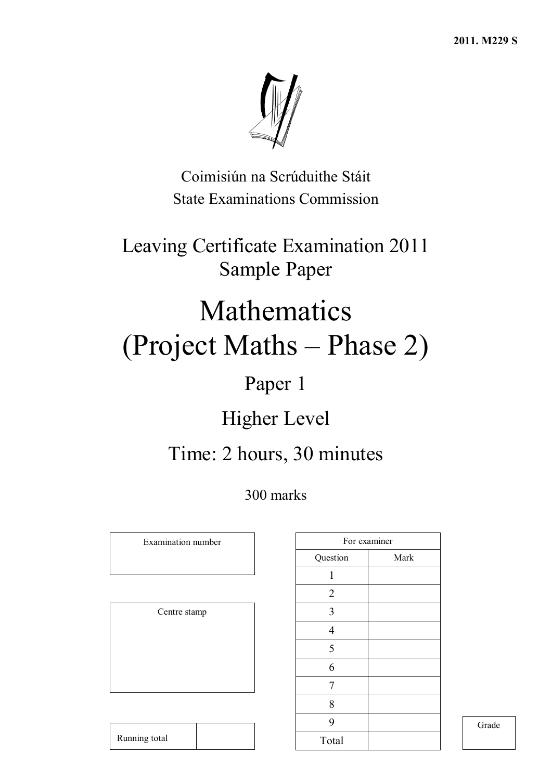**2011. M229 S**



Coimisiún na Scrúduithe Stáit State Examinations Commission

Leaving Certificate Examination 2011 Sample Paper

# Mathematics (Project Maths – Phase 2)

## Paper 1

## Higher Level

## Time: 2 hours, 30 minutes

300 marks

Examination number

Centre stamp

|                | For examiner |
|----------------|--------------|
| Question       | Mark         |
| 1              |              |
| $\overline{2}$ |              |
| $\mathfrak{Z}$ |              |
| $\overline{4}$ |              |
| 5              |              |
| 6              |              |
| $\overline{7}$ |              |
| 8              |              |
| 9              |              |
| Total          |              |

Grade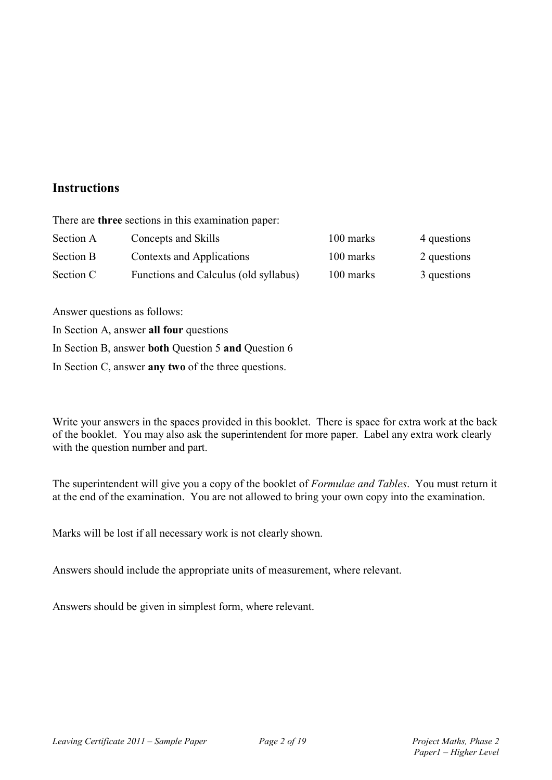### **Instructions**

There are **three** sections in this examination paper:

| Section A | Concepts and Skills                   | 100 marks | 4 questions |
|-----------|---------------------------------------|-----------|-------------|
| Section B | Contexts and Applications             | 100 marks | 2 questions |
| Section C | Functions and Calculus (old syllabus) | 100 marks | 3 questions |

Answer questions as follows:

In Section A, answer **all four** questions

In Section B, answer **both** Question 5 **and** Question 6

In Section C, answer **any two** of the three questions.

Write your answers in the spaces provided in this booklet. There is space for extra work at the back of the booklet. You may also ask the superintendent for more paper. Label any extra work clearly with the question number and part.

The superintendent will give you a copy of the booklet of *Formulae and Tables*. You must return it at the end of the examination. You are not allowed to bring your own copy into the examination.

Marks will be lost if all necessary work is not clearly shown.

Answers should include the appropriate units of measurement, where relevant.

Answers should be given in simplest form, where relevant.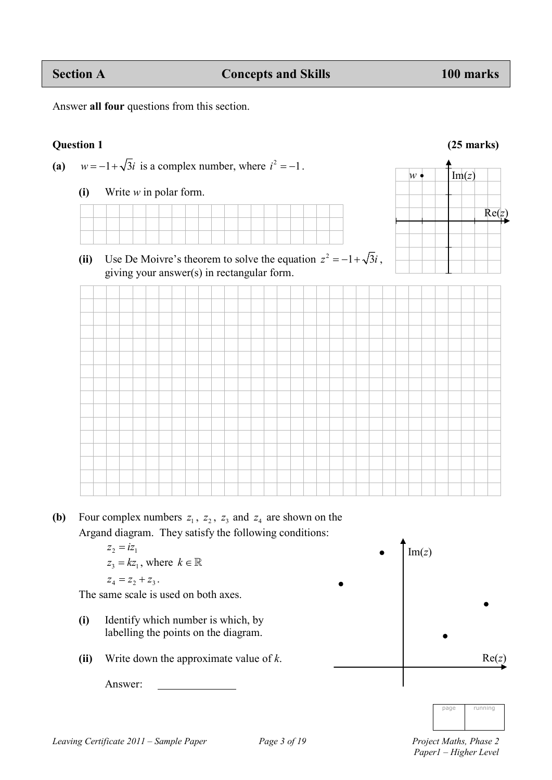Answer **all four** questions from this section.

### **Question 1 (25 marks)**

Re(*z*)

 $w \bullet \quad | \quad | \text{Im}(z)$ 

(a)  $w = -1 + \sqrt{3}i$  is a complex number, where  $i^2 = -1$ .

**(i)** Write *w* in polar form.



(ii) Use De Moivre's theorem to solve the equation  $z^2 = -1 + \sqrt{3}i$ , giving your answer(s) in rectangular form.

**(b)** Four complex numbers  $z_1$ ,  $z_2$ ,  $z_3$  and  $z_4$  are shown on the Argand diagram. They satisfy the following conditions:

$$
z_2 = iz_1
$$
  
\n
$$
z_3 = kz_1, \text{ where } k \in \mathbb{R}
$$
  
\n
$$
z_4 = z_2 + z_3.
$$

The same scale is used on both axes.

- **(i)** Identify which number is which, by labelling the points on the diagram.
- **(ii)** Write down the approximate value of *k*.

Answer:



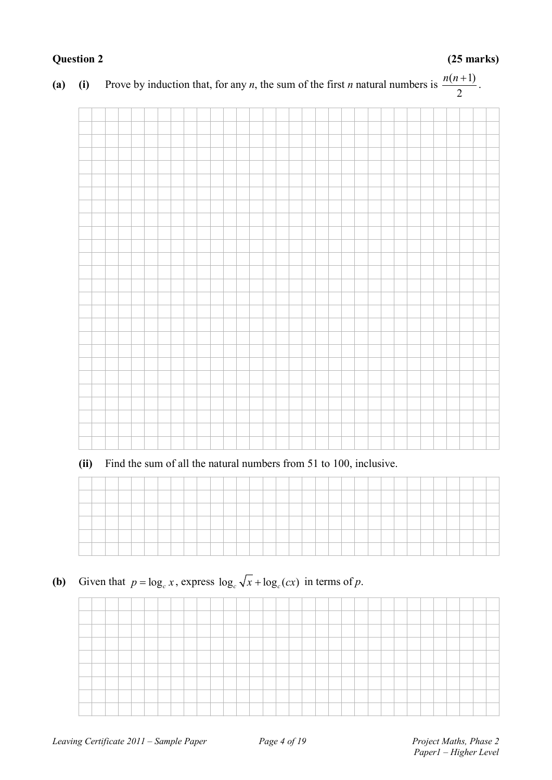#### *Leaving Certificate 2011 – Sample Paper Page 4 of 19 Project Maths, Phase 2*

| $\sqrt{ }$ |  | ↵ |  |  | $\overline{\phantom{a}}$ | J | ╯ |  |  |  |  |  |  |  | $\overline{2}$ |  |  |
|------------|--|---|--|--|--------------------------|---|---|--|--|--|--|--|--|--|----------------|--|--|
|            |  |   |  |  |                          |   |   |  |  |  |  |  |  |  |                |  |  |
|            |  |   |  |  |                          |   |   |  |  |  |  |  |  |  |                |  |  |
|            |  |   |  |  |                          |   |   |  |  |  |  |  |  |  |                |  |  |
|            |  |   |  |  |                          |   |   |  |  |  |  |  |  |  |                |  |  |
|            |  |   |  |  |                          |   |   |  |  |  |  |  |  |  |                |  |  |
|            |  |   |  |  |                          |   |   |  |  |  |  |  |  |  |                |  |  |
|            |  |   |  |  |                          |   |   |  |  |  |  |  |  |  |                |  |  |
|            |  |   |  |  |                          |   |   |  |  |  |  |  |  |  |                |  |  |
|            |  |   |  |  |                          |   |   |  |  |  |  |  |  |  |                |  |  |
|            |  |   |  |  |                          |   |   |  |  |  |  |  |  |  |                |  |  |
|            |  |   |  |  |                          |   |   |  |  |  |  |  |  |  |                |  |  |
|            |  |   |  |  |                          |   |   |  |  |  |  |  |  |  |                |  |  |
|            |  |   |  |  |                          |   |   |  |  |  |  |  |  |  |                |  |  |
|            |  |   |  |  |                          |   |   |  |  |  |  |  |  |  |                |  |  |
|            |  |   |  |  |                          |   |   |  |  |  |  |  |  |  |                |  |  |
|            |  |   |  |  |                          |   |   |  |  |  |  |  |  |  |                |  |  |
|            |  |   |  |  |                          |   |   |  |  |  |  |  |  |  |                |  |  |
|            |  |   |  |  |                          |   |   |  |  |  |  |  |  |  |                |  |  |
|            |  |   |  |  |                          |   |   |  |  |  |  |  |  |  |                |  |  |
|            |  |   |  |  |                          |   |   |  |  |  |  |  |  |  |                |  |  |
|            |  |   |  |  |                          |   |   |  |  |  |  |  |  |  |                |  |  |
|            |  |   |  |  |                          |   |   |  |  |  |  |  |  |  |                |  |  |
|            |  |   |  |  |                          |   |   |  |  |  |  |  |  |  |                |  |  |
|            |  |   |  |  |                          |   |   |  |  |  |  |  |  |  |                |  |  |
|            |  |   |  |  |                          |   |   |  |  |  |  |  |  |  |                |  |  |
|            |  |   |  |  |                          |   |   |  |  |  |  |  |  |  |                |  |  |

#### **(a) (i)** Prove by induction that, for any *n*, the sum of the first *n* natural numbers is  $\frac{n(n+1)}{2}$  $\frac{n(n+1)}{2}$ .

**(ii)** Find the sum of all the natural numbers from 51 to 100, inclusive.

**(b)** Given that  $p = \log_c x$ , express  $\log_c \sqrt{x} + \log_c (cx)$  in terms of *p*.

**Question 2 (25 marks)**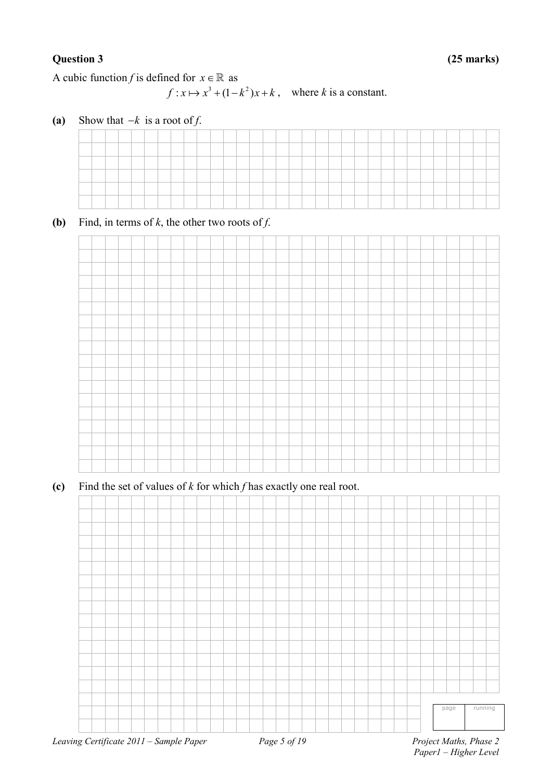A cubic function *f* is defined for  $x \in \mathbb{R}$  as

 $f: x \mapsto x^3 + (1 - k^2)x + k$ , where *k* is a constant.

**(a)** Show that  $-k$  is a root of *f*.

**(b)** Find, in terms of  $k$ , the other two roots of  $f$ .



**(c)** Find the set of values of *k* for which *f* has exactly one real root.

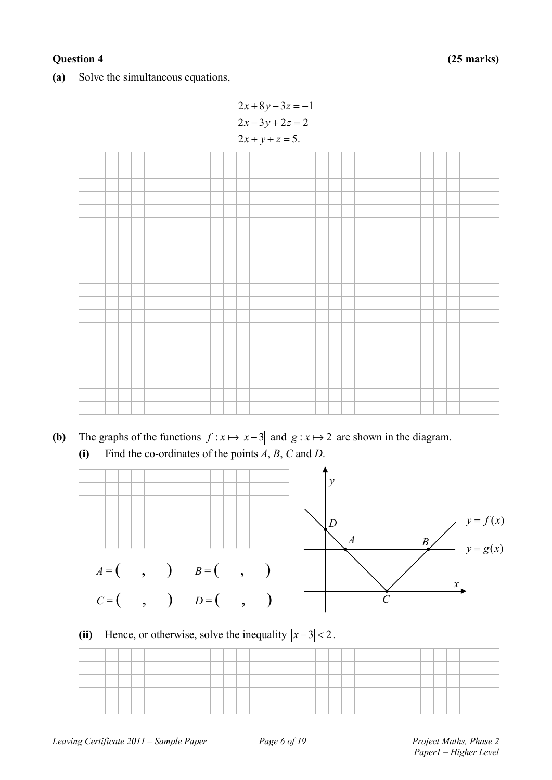#### **Question 4 (25 marks)**

**(a)** Solve the simultaneous equations,



**(b)** The graphs of the functions  $f: x \mapsto |x-3|$  and  $g: x \mapsto 2$  are shown in the diagram. **(i)** Find the co-ordinates of the points *A*, *B*, *C* and *D*.



### (ii) Hence, or otherwise, solve the inequality  $|x-3| < 2$ .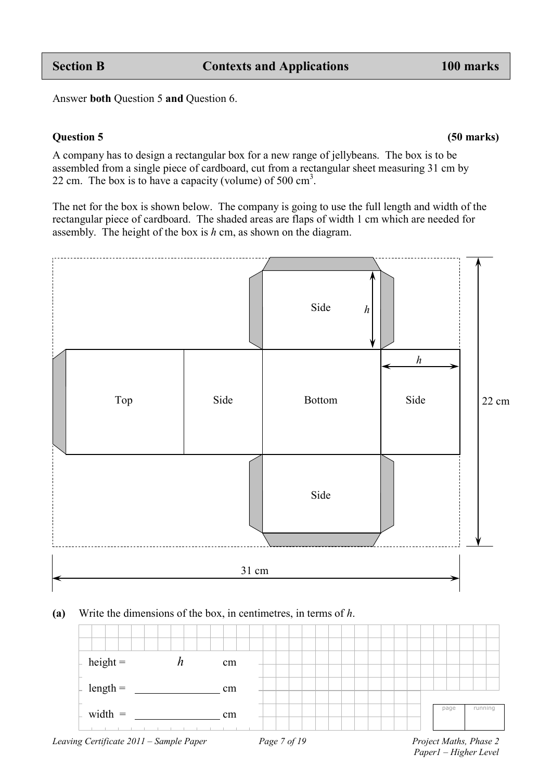Answer **both** Question 5 **and** Question 6.

#### **Question 5 (50 marks)**

A company has to design a rectangular box for a new range of jellybeans. The box is to be assembled from a single piece of cardboard, cut from a rectangular sheet measuring 31 cm by 22 cm. The box is to have a capacity (volume) of 500  $\text{cm}^3$ .

The net for the box is shown below. The company is going to use the full length and width of the rectangular piece of cardboard. The shaded areas are flaps of width 1 cm which are needed for assembly. The height of the box is *h* cm, as shown on the diagram.



#### **(a)** Write the dimensions of the box, in centimetres, in terms of *h*.



*Paper1 – Higher Level*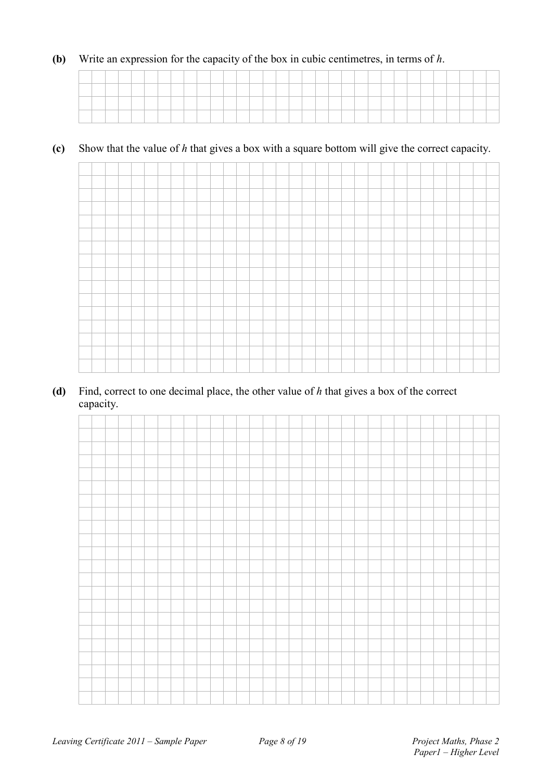#### **(b)** Write an expression for the capacity of the box in cubic centimetres, in terms of *h*.

#### **(c)** Show that the value of *h* that gives a box with a square bottom will give the correct capacity.



**(d)** Find, correct to one decimal place, the other value of *h* that gives a box of the correct capacity.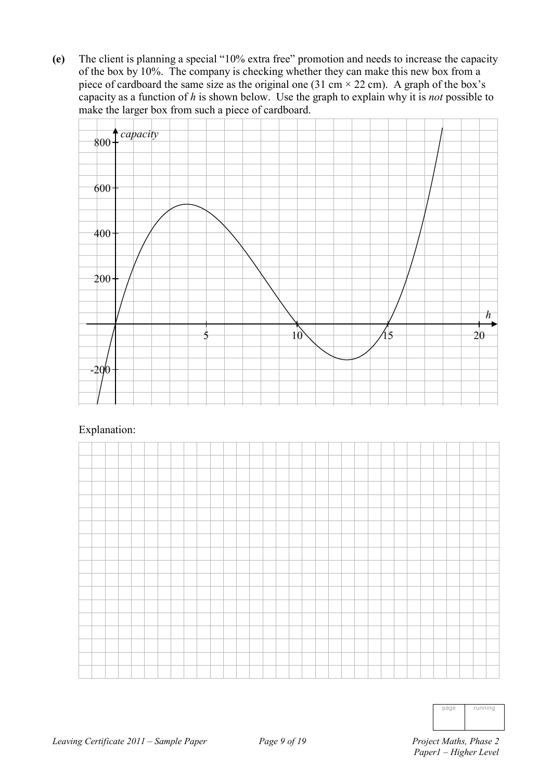**(e)** The client is planning a special "10% extra free" promotion and needs to increase the capacity of the box by 10%. The company is checking whether they can make this new box from a piece of cardboard the same size as the original one (31 cm  $\times$  22 cm). A graph of the box's capacity as a function of *h* is shown below. Use the graph to explain why it is *not* possible to make the larger box from such a piece of cardboard.



#### Explanation:



| runnına |
|---------|
|         |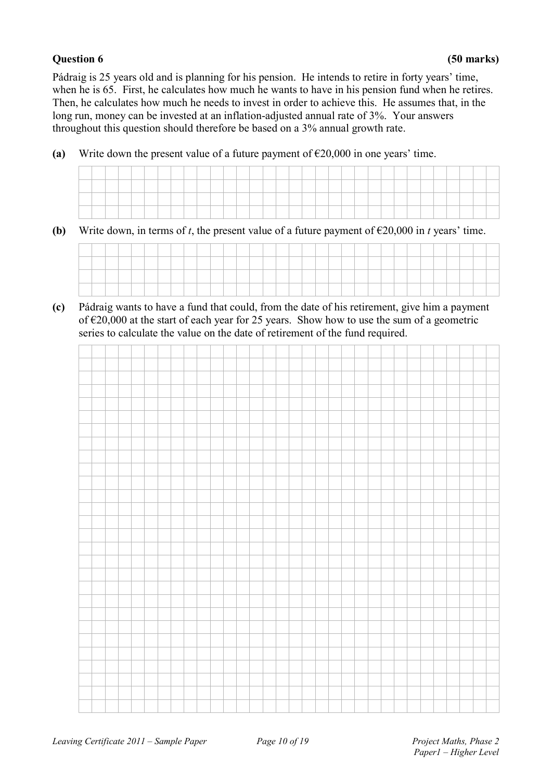#### **Question 6 (50 marks)**

Pádraig is 25 years old and is planning for his pension. He intends to retire in forty years' time, when he is 65. First, he calculates how much he wants to have in his pension fund when he retires. Then, he calculates how much he needs to invest in order to achieve this. He assumes that, in the long run, money can be invested at an inflation-adjusted annual rate of 3%. Your answers throughout this question should therefore be based on a 3% annual growth rate.

**(a)** Write down the present value of a future payment of  $\epsilon$ 20,000 in one years' time.

**(b)** Write down, in terms of *t*, the present value of a future payment of  $\epsilon$ 20,000 in *t* years' time.



**(c)** Pádraig wants to have a fund that could, from the date of his retirement, give him a payment of  $\epsilon$ 20,000 at the start of each year for 25 years. Show how to use the sum of a geometric series to calculate the value on the date of retirement of the fund required.

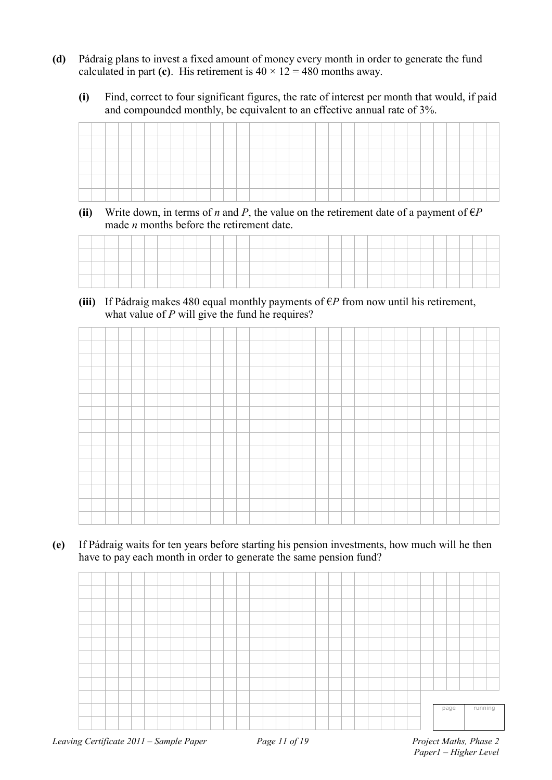- **(d)** Pádraig plans to invest a fixed amount of money every month in order to generate the fund calculated in part (c). His retirement is  $40 \times 12 = 480$  months away.
	- **(i)** Find, correct to four significant figures, the rate of interest per month that would, if paid and compounded monthly, be equivalent to an effective annual rate of 3%.

| <b><i><u>Property</u></i></b>               |  | _____ |  | and the control of the con- |  |  |  |  |  | _____    |  |  |  |  |  |  |  |
|---------------------------------------------|--|-------|--|-----------------------------|--|--|--|--|--|----------|--|--|--|--|--|--|--|
|                                             |  |       |  |                             |  |  |  |  |  |          |  |  |  |  |  |  |  |
|                                             |  |       |  |                             |  |  |  |  |  |          |  |  |  |  |  |  |  |
| <b><i><u>Property Communication</u></i></b> |  |       |  |                             |  |  |  |  |  | ________ |  |  |  |  |  |  |  |
|                                             |  |       |  |                             |  |  |  |  |  |          |  |  |  |  |  |  |  |

**(ii)** Write down, in terms of *n* and *P*, the value on the retirement date of a payment of  $\epsilon P$ made *n* months before the retirement date.

(iii) If Pádraig makes 480 equal monthly payments of  $\epsilon P$  from now until his retirement, what value of *P* will give the fund he requires?

**(e)** If Pádraig waits for ten years before starting his pension investments, how much will he then have to pay each month in order to generate the same pension fund?

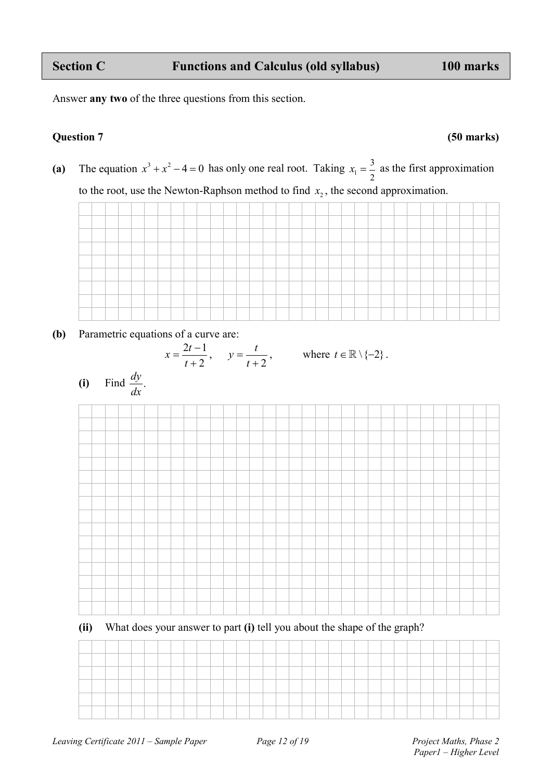Answer **any two** of the three questions from this section.

#### **Question 7 (50 marks)**

(a) The equation  $x^3 + x^2 - 4 = 0$  has only one real root. Taking  $x_1 = \frac{3}{2}$ 2  $x_1 = \frac{3}{2}$  as the first approximation to the root, use the Newton-Raphson method to find  $x<sub>2</sub>$ , the second approximation.

**(b)** Parametric equations of a curve are:



**(ii)** What does your answer to part **(i)** tell you about the shape of the graph?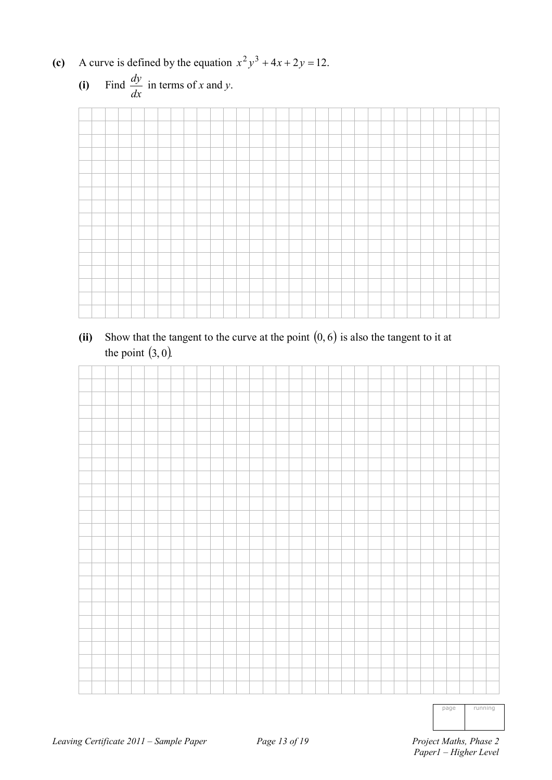(c) A curve is defined by the equation  $x^2y^3 + 4x + 2y = 12$ .



**(ii)** Show that the tangent to the curve at the point (0, 6) is also the tangent to it at the point  $(3, 0)$ .



page running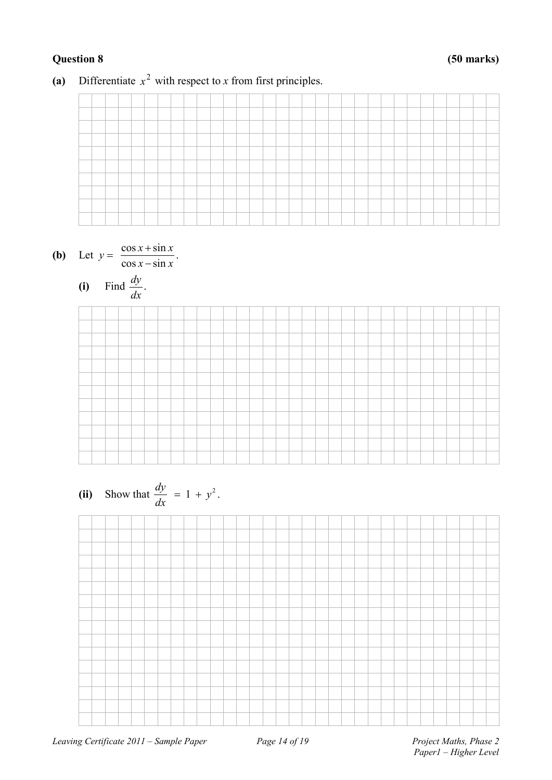#### (a) Differentiate  $x^2$  with respect to *x* from first principles.







(ii) Show that 
$$
\frac{dy}{dx} = 1 + y^2
$$
.

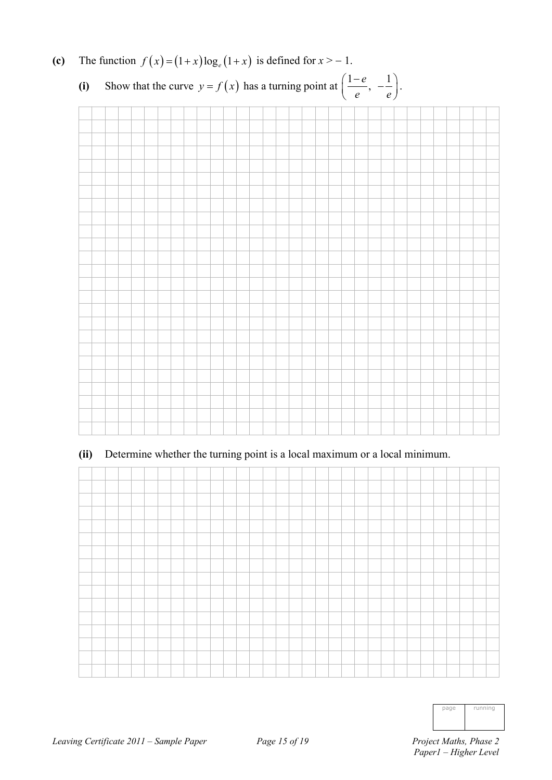

### (c) The function  $f(x) = (1+x) \log_e(1+x)$  is defined for  $x > -1$ .

### **(ii)** Determine whether the turning point is a local maximum or a local minimum.



| ı | running |
|---|---------|
|   |         |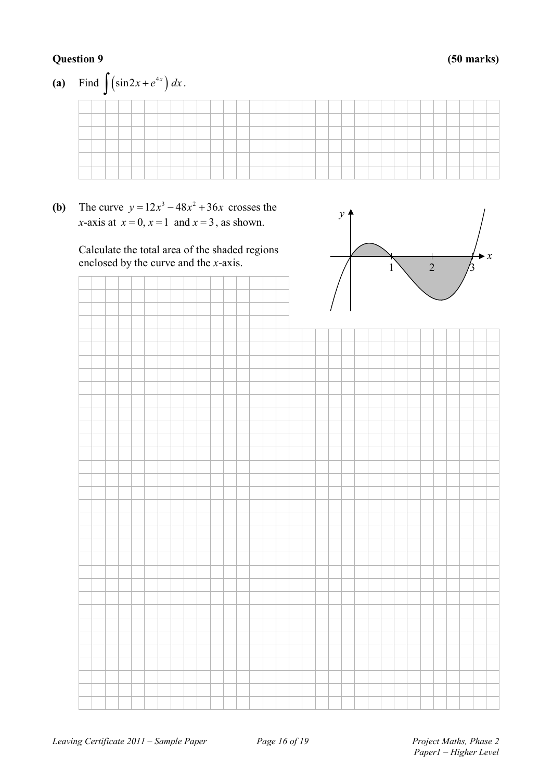#### **Question 9 (50 marks)**



**(b)** The curve  $y = 12x^3 - 48x^2 + 36x$  crosses the *x*-axis at  $x = 0$ ,  $x = 1$  and  $x = 3$ , as shown.

> Calculate the total area of the shaded regions enclosed by the curve and the *x*-axis.



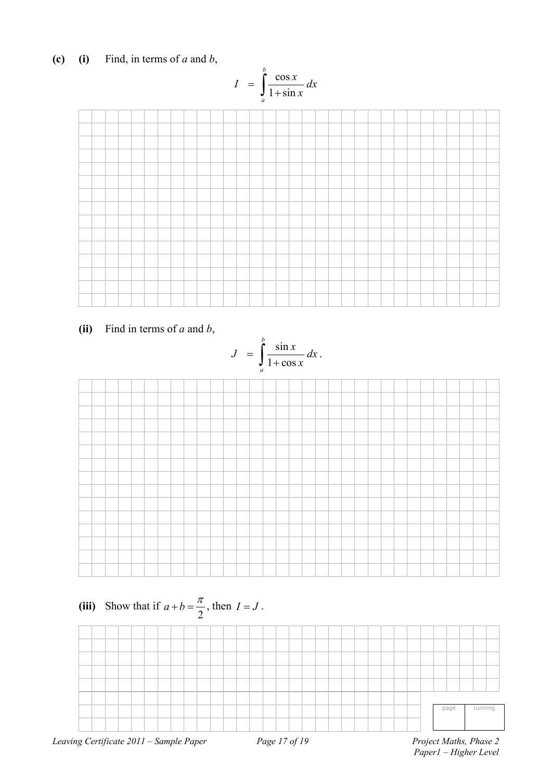**(c) (i)** Find, in terms of *a* and *b*,

$$
I = \int_{a}^{b} \frac{\cos x}{1 + \sin x} dx
$$



**(ii)** Find in terms of *a* and *b*,





*Paper1 – Higher Level*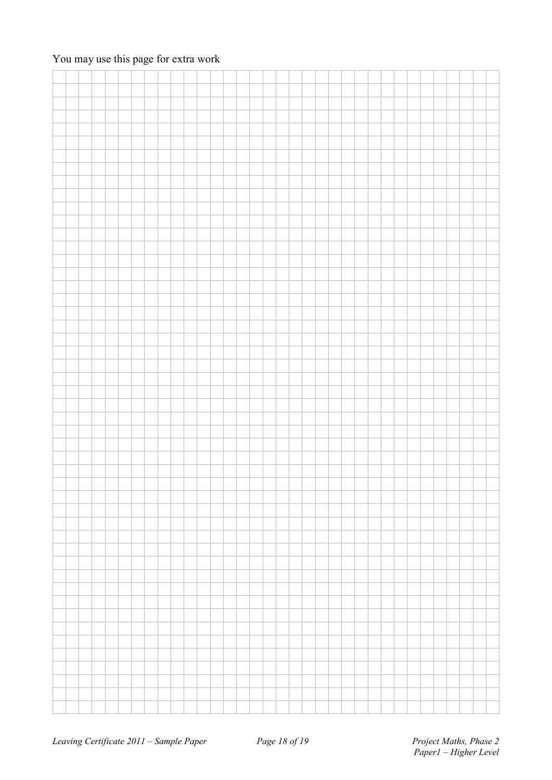### You may use this page for extra work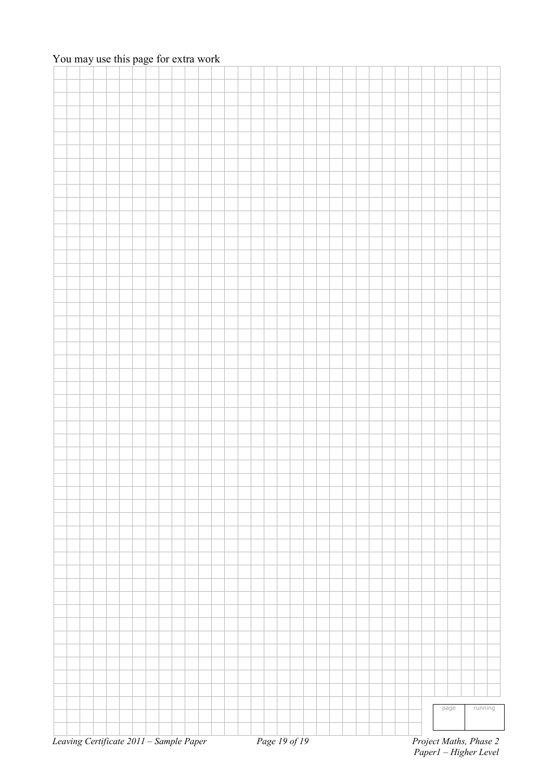### You may use this page for extra work

|  |  |                                         |  |  |  |  |  |               |  |  |  |  |  |  | page |  | running                |
|--|--|-----------------------------------------|--|--|--|--|--|---------------|--|--|--|--|--|--|------|--|------------------------|
|  |  |                                         |  |  |  |  |  |               |  |  |  |  |  |  |      |  |                        |
|  |  |                                         |  |  |  |  |  |               |  |  |  |  |  |  |      |  |                        |
|  |  | Leaving Certificate 2011 - Sample Paper |  |  |  |  |  | Page 19 of 19 |  |  |  |  |  |  |      |  | Project Maths, Phase 2 |